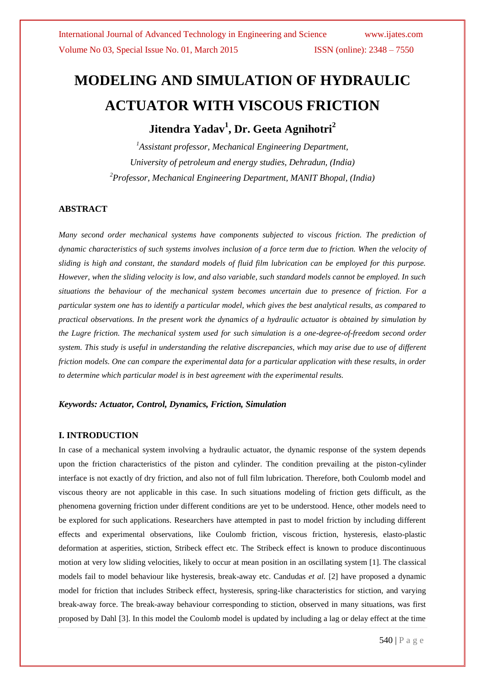# **MODELING AND SIMULATION OF HYDRAULIC ACTUATOR WITH VISCOUS FRICTION**

**Jitendra Yadav<sup>1</sup> , Dr. Geeta Agnihotri<sup>2</sup>**

*<sup>1</sup>Assistant professor, Mechanical Engineering Department, University of petroleum and energy studies, Dehradun, (India) <sup>2</sup>Professor, Mechanical Engineering Department, MANIT Bhopal, (India)*

#### **ABSTRACT**

*Many second order mechanical systems have components subjected to viscous friction. The prediction of dynamic characteristics of such systems involves inclusion of a force term due to friction. When the velocity of sliding is high and constant, the standard models of fluid film lubrication can be employed for this purpose. However, when the sliding velocity is low, and also variable, such standard models cannot be employed. In such situations the behaviour of the mechanical system becomes uncertain due to presence of friction. For a particular system one has to identify a particular model, which gives the best analytical results, as compared to practical observations. In the present work the dynamics of a hydraulic actuator is obtained by simulation by the Lugre friction. The mechanical system used for such simulation is a one-degree-of-freedom second order system. This study is useful in understanding the relative discrepancies, which may arise due to use of different friction models. One can compare the experimental data for a particular application with these results, in order to determine which particular model is in best agreement with the experimental results.*

#### *Keywords: Actuator, Control, Dynamics, Friction, Simulation*

#### **I. INTRODUCTION**

In case of a mechanical system involving a hydraulic actuator, the dynamic response of the system depends upon the friction characteristics of the piston and cylinder. The condition prevailing at the piston-cylinder interface is not exactly of dry friction, and also not of full film lubrication. Therefore, both Coulomb model and viscous theory are not applicable in this case. In such situations modeling of friction gets difficult, as the phenomena governing friction under different conditions are yet to be understood. Hence, other models need to be explored for such applications. Researchers have attempted in past to model friction by including different effects and experimental observations, like Coulomb friction, viscous friction, hysteresis, elasto-plastic deformation at asperities, stiction, Stribeck effect etc. The Stribeck effect is known to produce discontinuous motion at very low sliding velocities, likely to occur at mean position in an oscillating system [1]. The classical models fail to model behaviour like hysteresis, break-away etc. Candudas *et al.* [2] have proposed a dynamic model for friction that includes Stribeck effect, hysteresis, spring-like characteristics for stiction, and varying break-away force. The break-away behaviour corresponding to stiction, observed in many situations, was first proposed by Dahl [3]. In this model the Coulomb model is updated by including a lag or delay effect at the time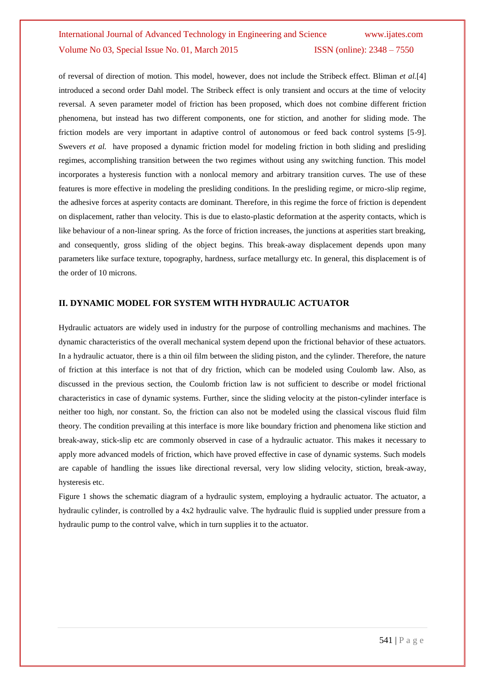## International Journal of Advanced Technology in Engineering and Science www.ijates.com Volume No 03, Special Issue No. 01, March 2015 **ISSN** (online): 2348 - 7550

of reversal of direction of motion. This model, however, does not include the Stribeck effect. Bliman *et al.*[4] introduced a second order Dahl model. The Stribeck effect is only transient and occurs at the time of velocity reversal. A seven parameter model of friction has been proposed, which does not combine different friction phenomena, but instead has two different components, one for stiction, and another for sliding mode. The friction models are very important in adaptive control of autonomous or feed back control systems [5-9]. Swevers *et al.* have proposed a dynamic friction model for modeling friction in both sliding and presliding regimes, accomplishing transition between the two regimes without using any switching function. This model incorporates a hysteresis function with a nonlocal memory and arbitrary transition curves. The use of these features is more effective in modeling the presliding conditions. In the presliding regime, or micro-slip regime, the adhesive forces at asperity contacts are dominant. Therefore, in this regime the force of friction is dependent on displacement, rather than velocity. This is due to elasto-plastic deformation at the asperity contacts, which is like behaviour of a non-linear spring. As the force of friction increases, the junctions at asperities start breaking, and consequently, gross sliding of the object begins. This break-away displacement depends upon many parameters like surface texture, topography, hardness, surface metallurgy etc. In general, this displacement is of the order of 10 microns.

#### **II. DYNAMIC MODEL FOR SYSTEM WITH HYDRAULIC ACTUATOR**

Hydraulic actuators are widely used in industry for the purpose of controlling mechanisms and machines. The dynamic characteristics of the overall mechanical system depend upon the frictional behavior of these actuators. In a hydraulic actuator, there is a thin oil film between the sliding piston, and the cylinder. Therefore, the nature of friction at this interface is not that of dry friction, which can be modeled using Coulomb law. Also, as discussed in the previous section, the Coulomb friction law is not sufficient to describe or model frictional characteristics in case of dynamic systems. Further, since the sliding velocity at the piston-cylinder interface is neither too high, nor constant. So, the friction can also not be modeled using the classical viscous fluid film theory. The condition prevailing at this interface is more like boundary friction and phenomena like stiction and break-away, stick-slip etc are commonly observed in case of a hydraulic actuator. This makes it necessary to apply more advanced models of friction, which have proved effective in case of dynamic systems. Such models are capable of handling the issues like directional reversal, very low sliding velocity, stiction, break-away, hysteresis etc.

Figure 1 shows the schematic diagram of a hydraulic system, employing a hydraulic actuator. The actuator, a hydraulic cylinder, is controlled by a 4x2 hydraulic valve. The hydraulic fluid is supplied under pressure from a hydraulic pump to the control valve, which in turn supplies it to the actuator.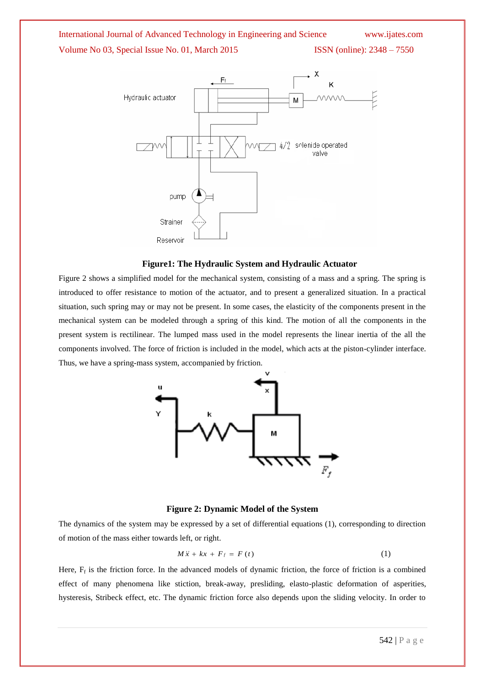## International Journal of Advanced Technology in Engineering and Science www.ijates.com

Volume No 03, Special Issue No. 01, March 2015 ISSN (online): 2348 – 7550



#### **Figure1: The Hydraulic System and Hydraulic Actuator**

Figure 2 shows a simplified model for the mechanical system, consisting of a mass and a spring. The spring is introduced to offer resistance to motion of the actuator, and to present a generalized situation. In a practical situation, such spring may or may not be present. In some cases, the elasticity of the components present in the mechanical system can be modeled through a spring of this kind. The motion of all the components in the present system is rectilinear. The lumped mass used in the model represents the linear inertia of the all the components involved. The force of friction is included in the model, which acts at the piston-cylinder interface. Thus, we have a spring-mass system, accompanied by friction.



#### **Figure 2: Dynamic Model of the System**

The dynamics of the system may be expressed by a set of differential equations (1), corresponding to direction of motion of the mass either towards left, or right.

$$
M\ddot{x} + kx + F_f = F(t) \tag{1}
$$

Here,  $F_f$  is the friction force. In the advanced models of dynamic friction, the force of friction is a combined effect of many phenomena like stiction, break-away, presliding, elasto-plastic deformation of asperities, hysteresis, Stribeck effect, etc. The dynamic friction force also depends upon the sliding velocity. In order to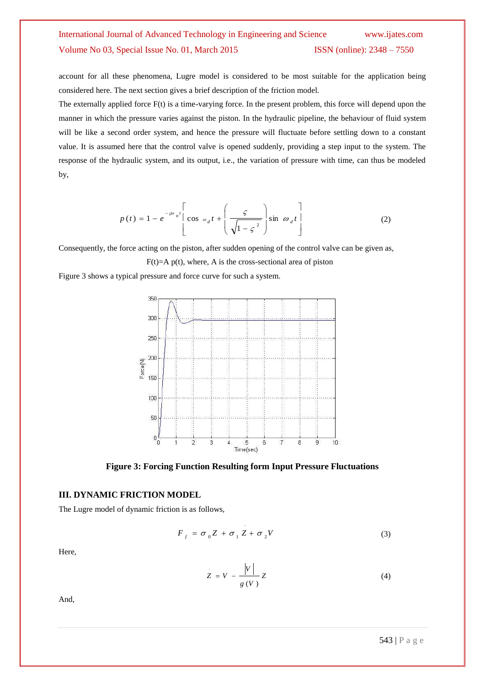### International Journal of Advanced Technology in Engineering and Science www.ijates.com Volume No 03, Special Issue No. 01, March 2015 ISSN (online): 2348 – 7550

account for all these phenomena, Lugre model is considered to be most suitable for the application being considered here. The next section gives a brief description of the friction model.

The externally applied force F(t) is a time-varying force. In the present problem, this force will depend upon the manner in which the pressure varies against the piston. In the hydraulic pipeline, the behaviour of fluid system will be like a second order system, and hence the pressure will fluctuate before settling down to a constant value. It is assumed here that the control valve is opened suddenly, providing a step input to the system. The response of the hydraulic system, and its output, i.e., the variation of pressure with time, can thus be modeled by,

$$
p(t) = 1 - e^{-\varpi n t} \left[ \cos \omega_d t + \left( \frac{\varsigma}{\sqrt{1 - \varsigma^2}} \right) \sin \omega_d t \right]
$$
 (2)

Consequently, the force acting on the piston, after sudden opening of the control valve can be given as,

 $F(t)=A p(t)$ , where, A is the cross-sectional area of piston

Figure 3 shows a typical pressure and force curve for such a system.



**Figure 3: Forcing Function Resulting form Input Pressure Fluctuations**

.

#### **III. DYNAMIC FRICTION MODEL**

The Lugre model of dynamic friction is as follows,

$$
F_f = \sigma_0 Z + \sigma_1 Z + \sigma_2 V \tag{3}
$$

Here,

$$
Z = V - \frac{|V|}{g(V)} Z \tag{4}
$$

And,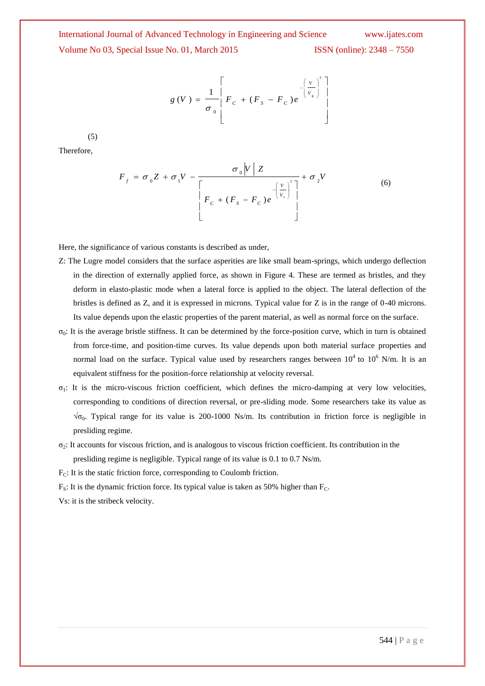## International Journal of Advanced Technology in Engineering and Science www.ijates.com Volume No 03, Special Issue No. 01, March 2015 ISSN (online): 2348 – 7550

$$
g(V) = \frac{1}{\sigma_0} \left[ F_c + (F_s - F_c) e^{-\left(\frac{V}{V_s}\right)^2} \right]
$$

(5)

Therefore,

$$
F_f = \sigma_0 Z + \sigma_1 V - \frac{\sigma_0 |V| Z}{\left[F_c + (F_s - F_c)e^{-\left(\frac{V}{V_s}\right)^2}\right]} + \sigma_2 V
$$
\n(6)

Here, the significance of various constants is described as under,

- Z: The Lugre model considers that the surface asperities are like small beam-springs, which undergo deflection in the direction of externally applied force, as shown in Figure 4. These are termed as bristles, and they deform in elasto-plastic mode when a lateral force is applied to the object. The lateral deflection of the bristles is defined as Z, and it is expressed in microns. Typical value for Z is in the range of 0-40 microns. Its value depends upon the elastic properties of the parent material, as well as normal force on the surface.
- $σ<sub>0</sub>$ : It is the average bristle stiffness. It can be determined by the force-position curve, which in turn is obtained from force-time, and position-time curves. Its value depends upon both material surface properties and normal load on the surface. Typical value used by researchers ranges between  $10^4$  to  $10^6$  N/m. It is an equivalent stiffness for the position-force relationship at velocity reversal.
- $\sigma_1$ : It is the micro-viscous friction coefficient, which defines the micro-damping at very low velocities, corresponding to conditions of direction reversal, or pre-sliding mode. Some researchers take its value as  $\sqrt{\sigma_0}$ . Typical range for its value is 200-1000 Ns/m. Its contribution in friction force is negligible in presliding regime.
- $\sigma_2$ : It accounts for viscous friction, and is analogous to viscous friction coefficient. Its contribution in the presliding regime is negligible. Typical range of its value is 0.1 to 0.7 Ns/m.

 $F<sub>C</sub>$ : It is the static friction force, corresponding to Coulomb friction.

 $F_s$ : It is the dynamic friction force. Its typical value is taken as 50% higher than  $F_c$ .

Vs: it is the stribeck velocity.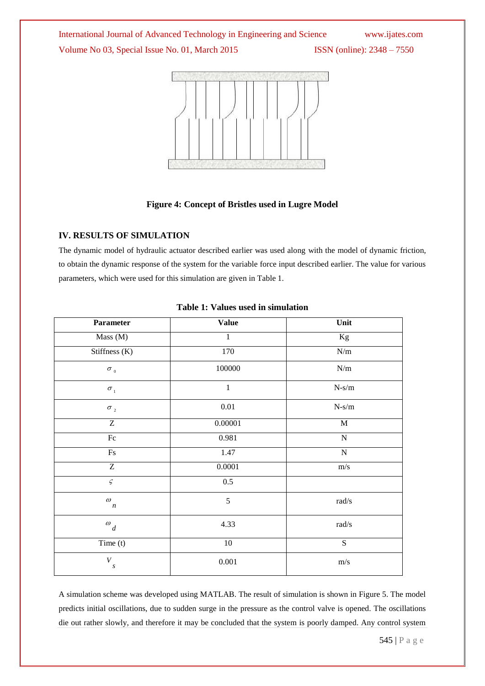International Journal of Advanced Technology in Engineering and Science www.ijates.com Volume No 03, Special Issue No. 01, March 2015 ISSN (online): 2348 - 7550



#### **Figure 4: Concept of Bristles used in Lugre Model**

#### **IV. RESULTS OF SIMULATION**

The dynamic model of hydraulic actuator described earlier was used along with the model of dynamic friction, to obtain the dynamic response of the system for the variable force input described earlier. The value for various parameters, which were used for this simulation are given in Table 1.

| Parameter                            | <b>Value</b> | Unit                                                   |
|--------------------------------------|--------------|--------------------------------------------------------|
| Mass (M)                             | $\mathbf{1}$ | Kg                                                     |
| Stiffness $(K)$                      | 170          | $\mathrm{N}/\mathrm{m}$                                |
| $\sigma$ $_{\scriptscriptstyle 0}$   | 100000       | $\mathrm{N}/\mathrm{m}$                                |
| $\sigma_{1}$                         | $\mathbf{1}$ | $N\mbox{-}s/m$                                         |
| $\sigma$ $_{2}$                      | $0.01\,$     | $N-s/m$                                                |
| Z                                    | 0.00001      | $\mathbf M$                                            |
| F <sub>c</sub>                       | 0.981        | $\overline{N}$                                         |
| $\mathop{\hbox{\rm Fs}}$             | 1.47         | ${\bf N}$                                              |
| $\overline{Z}$                       | 0.0001       | $\mathrm{m/s}$                                         |
| $\varsigma$                          | $0.5\,$      |                                                        |
| $\omega_{n}$                         | 5            | $\ensuremath{\text{rad}}\xspace/\ensuremath{\text{s}}$ |
| $\ ^{\varpi}d$                       | 4.33         | $\ensuremath{\text{rad}}\xspace/\ensuremath{\text{s}}$ |
| Time (t)                             | 10           | ${\bf S}$                                              |
| $\boldsymbol{V}$<br>$\boldsymbol{S}$ | 0.001        | $\mathrm{m/s}$                                         |

#### **Table 1: Values used in simulation**

A simulation scheme was developed using MATLAB. The result of simulation is shown in Figure 5. The model predicts initial oscillations, due to sudden surge in the pressure as the control valve is opened. The oscillations die out rather slowly, and therefore it may be concluded that the system is poorly damped. Any control system

545 | P a g e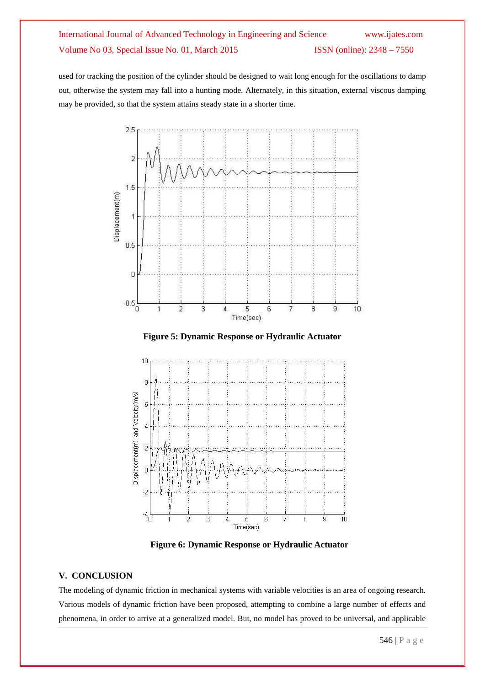## International Journal of Advanced Technology in Engineering and Science www.ijates.com Volume No 03, Special Issue No. 01, March 2015 ISSN (online): 2348 - 7550

used for tracking the position of the cylinder should be designed to wait long enough for the oscillations to damp out, otherwise the system may fall into a hunting mode. Alternately, in this situation, external viscous damping may be provided, so that the system attains steady state in a shorter time.



**Figure 5: Dynamic Response or Hydraulic Actuator**



**Figure 6: Dynamic Response or Hydraulic Actuator**

#### **V. CONCLUSION**

The modeling of dynamic friction in mechanical systems with variable velocities is an area of ongoing research. Various models of dynamic friction have been proposed, attempting to combine a large number of effects and phenomena, in order to arrive at a generalized model. But, no model has proved to be universal, and applicable